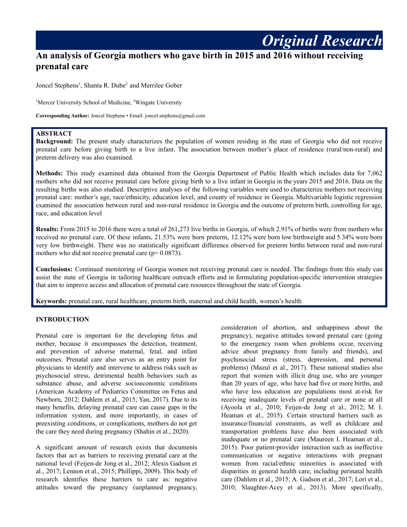# **An analysis of Georgia mothers who gave birth in 2015 and 2016 without receiving prenatal care**

Joncel Stephens 1 , Shanta R. Dube <sup>2</sup> and Merrilee Gober

<sup>1</sup>Mercer University School of Medicine, <sup>2</sup>Wingate University

**Corresponding Author:** Joncel Stephens • Email: joncel.stephens@gmail.com

## **ABSTRACT**

**Background:** The present study characterizes the population of women residing in the state of Georgia who did not receive prenatal care before giving birth to a live infant. The association between mother's place of residence (rural/non-rural) and preterm delivery was also examined.

**Methods:** This study examined data obtained from the Georgia Department of Public Health which includes data for 7,062 mothers who did not receive prenatal care before giving birth to a live infant in Georgia in the years 2015 and 2016. Data on the resulting births was also studied. Descriptive analyses of the following variables were used to characterize mothers not receiving prenatal care: mother's age, race/ethnicity, education level, and county of residence in Georgia. Multivariable logistic regression examined the association between rural and non-rural residence in Georgia and the outcome of preterm birth, controlling for age, race, and education level

**Results:** From 2015 to 2016 there were a total of 261,273 live births in Georgia, of which 2.91% of births were from mothers who received no prenatal care. Of these infants, 21.53% were born preterm, 12.12% were born low birthweight and 5.34% were born very low birthweight. There was no statistically significant difference observed for preterm births between rural and non-rural mothers who did not receive prenatal care ( $p= 0.0873$ ).

**Conclusions:** Continued monitoring of Georgia women not receiving prenatal care is needed. The findings from this study can assist the state of Georgia in tailoring healthcare outreach efforts and in formulating population-specific intervention strategies that aim to improve access and allocation of prenatal care resources throughout the state of Georgia.

**Keywords:** prenatal care, rural healthcare, preterm birth, maternal and child health, women's health

#### **INTRODUCTION**

Prenatal care is important for the developing fetus and mother, because it encompasses the detection, treatment, and prevention of adverse maternal, fetal, and infant outcomes. Prenatal care also serves as an entry point for physicians to identify and intervene to address risks such as psychosocial stress, detrimental health behaviors such as substance abuse, and adverse socioeconomic conditions (American Academy of Pediatrics Committee on Fetus and Newborn, 2012; Dahlem et al., 2015; Yan, 2017). Due to its many benefits, delaying prenatal care can cause gaps in the information system, and more importantly, in cases of preexisting conditions, or complications, mothers do not get the care they need during pregnancy (Shahin et al., 2020).

A significant amount of research exists that documents factors that act as barriers to receiving prenatal care at the national level (Feijen-de Jong et al., 2012; Alexis Gadson et al., 2017; Lennon et al., 2015; Phillippi, 2009). This body of research identifies these barriers to care as: negative attitudes toward the pregnancy (unplanned pregnancy,

consideration of abortion, and unhappiness about the pregnancy), negative attitudes toward prenatal care (going to the emergency room when problems occur, receiving advice about pregnancy from family and friends), and psychosocial stress (stress, depression, and personal problems) (Mazul et al., 2017). These national studies also report that women with illicit drug use, who are younger than 20 years of age, who have had five or more births, and who have less education are populations most at-risk for receiving inadequate levels of prenatal care or none at all (Ayoola et al., 2010; Feijen-de Jong et al., 2012; M. I. Heaman et al., 2015). Certain structural barriers such as insurance/financial constraints, as well as childcare and transportation problems have also been associated with inadequate or no prenatal care (Maureen I. Heaman et al., 2015). Poor patient-provider interaction such as ineffective communication or negative interactions with pregnant women from racial/ethnic minorities is associated with disparities in general health care, including perinatal health care (Dahlem et al., 2015; A. Gadson et al., 2017; Lori et al., 2010; Slaughter-Acey et al., 2013). More specifically,

*Original Research*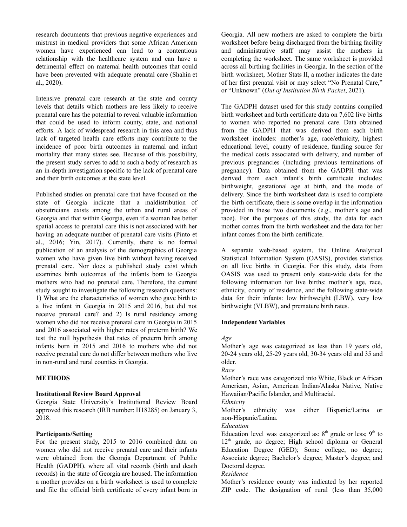research documents that previous negative experiences and mistrust in medical providers that some African American women have experienced can lead to a contentious relationship with the healthcare system and can have a detrimental effect on maternal health outcomes that could have been prevented with adequate prenatal care (Shahin et al., 2020).

Intensive prenatal care research at the state and county levels that details which mothers are less likely to receive prenatal care has the potential to reveal valuable information that could be used to inform county, state, and national efforts. A lack of widespread research in this area and thus lack of targeted health care efforts may contribute to the incidence of poor birth outcomes in maternal and infant mortality that many states see. Because of this possibility, the present study serves to add to such a body of research as an in-depth investigation specific to the lack of prenatal care and their birth outcomes at the state level.

Published studies on prenatal care that have focused on the state of Georgia indicate that a maldistribution of obstetricians exists among the urban and rural areas of Georgia and that within Georgia, even if a woman has better spatial access to prenatal care this is not associated with her having an adequate number of prenatal care visits (Pinto et al., 2016; Yin, 2017). Currently, there is no formal publication of an analysis of the demographics of Georgia women who have given live birth without having received prenatal care. Nor does a published study exist which examines birth outcomes of the infants born to Georgia mothers who had no prenatal care. Therefore, the current study sought to investigate the following research questions: 1) What are the characteristics of women who gave birth to a live infant in Georgia in 2015 and 2016, but did not receive prenatal care? and 2) Is rural residency among women who did not receive prenatal care in Georgia in 2015 and 2016 associated with higher rates of preterm birth? We test the null hypothesis that rates of preterm birth among infants born in 2015 and 2016 to mothers who did not receive prenatal care do not differ between mothers who live in non-rural and rural counties in Georgia.

## **METHODS**

#### **Institutional Review Board Approval**

Georgia State University's Institutional Review Board approved this research (IRB number: H18285) on January 3, 2018.

#### **Participants/Setting**

For the present study, 2015 to 2016 combined data on women who did not receive prenatal care and their infants were obtained from the Georgia Department of Public Health (GADPH), where all vital records (birth and death records) in the state of Georgia are housed. The information a mother provides on a birth worksheet is used to complete and file the official birth certificate of every infant born in

Georgia. All new mothers are asked to complete the birth worksheet before being discharged from the birthing facility and administrative staff may assist the mothers in completing the worksheet. The same worksheet is provided across all birthing facilities in Georgia. In the section of the birth worksheet, Mother Stats II, a mother indicates the date of her first prenatal visit or may select "No Prenatal Care," or "Unknown" (*Out of Institution Birth Packet*, 2021).

The GADPH dataset used for this study contains compiled birth worksheet and birth certificate data on 7,602 live births to women who reported no prenatal care. Data obtained from the GADPH that was derived from each birth worksheet includes: mother's age, race/ethnicity, highest educational level, county of residence, funding source for the medical costs associated with delivery, and number of previous pregnancies (including previous terminations of pregnancy). Data obtained from the GADPH that was derived from each infant's birth certificate includes: birthweight, gestational age at birth, and the mode of delivery. Since the birth worksheet data is used to complete the birth certificate, there is some overlap in the information provided in these two documents (e.g., mother's age and race). For the purposes of this study, the data for each mother comes from the birth worksheet and the data for her infant comes from the birth certificate.

A separate web-based system, the Online Analytical Statistical Information System (OASIS), provides statistics on all live births in Georgia. For this study, data from OASIS was used to present only state-wide data for the following information for live births: mother's age, race, ethnicity, county of residence, and the following state-wide data for their infants: low birthweight (LBW), very low birthweight (VLBW), and premature birth rates.

## **Independent Variables**

*Age*

Mother's age was categorized as less than 19 years old, 20-24 years old, 25-29 years old, 30-34 years old and 35 and older.

#### *Race*

Mother's race was categorized into White, Black or African American, Asian, American Indian/Alaska Native, Native Hawaiian/Pacific Islander, and Multiracial.

*Ethnicity*

Mother's ethnicity was either Hispanic/Latina or non-Hispanic/Latina.

*Education*

Education level was categorized as:  $8<sup>th</sup>$  grade or less;  $9<sup>th</sup>$  to 12<sup>th</sup> grade, no degree; High school diploma or General Education Degree (GED); Some college, no degree; Associate degree; Bachelor's degree; Master's degree; and Doctoral degree.

#### *Residence*

Mother's residence county was indicated by her reported ZIP code. The designation of rural (less than 35,000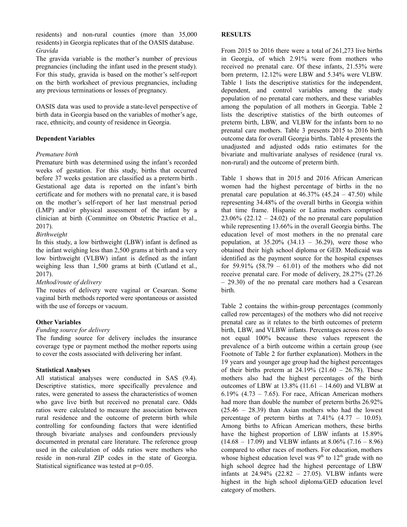residents) and non-rural counties (more than 35,000 residents) in Georgia replicates that of the OASIS database. *Gravida*

The gravida variable is the mother's number of previous pregnancies (including the infant used in the present study). For this study, gravida is based on the mother's self-report on the birth worksheet of previous pregnancies, including any previous terminations or losses of pregnancy.

OASIS data was used to provide a state-level perspective of birth data in Georgia based on the variables of mother's age, race, ethnicity, and county of residence in Georgia.

## **Dependent Variables**

#### *Premature birth*

Premature birth was determined using the infant's recorded weeks of gestation. For this study, births that occurred before 37 weeks gestation are classified as a preterm birth . Gestational age data is reported on the infant's birth certificate and for mothers with no prenatal care, it is based on the mother's self-report of her last menstrual period (LMP) and/or physical assessment of the infant by a clinician at birth (Committee on Obstetric Practice et al., 2017).

## *Birthweight*

In this study, a low birthweight (LBW) infant is defined as the infant weighing less than 2,500 grams at birth and a very low birthweight (VLBW) infant is defined as the infant weighing less than 1,500 grams at birth (Cutland et al., 2017).

## *Method/route of delivery*

The routes of delivery were vaginal or Cesarean. Some vaginal birth methods reported were spontaneous or assisted with the use of forceps or vacuum.

## **Other Variables**

#### *Funding source for delivery*

The funding source for delivery includes the insurance coverage type or payment method the mother reports using to cover the costs associated with delivering her infant.

#### **Statistical Analyses**

All statistical analyses were conducted in SAS (9.4). Descriptive statistics, more specifically prevalence and rates, were generated to assess the characteristics of women who gave live birth but received no prenatal care. Odds ratios were calculated to measure the association between rural residence and the outcome of preterm birth while controlling for confounding factors that were identified through bivariate analyses and confounders previously documented in prenatal care literature. The reference group used in the calculation of odds ratios were mothers who reside in non-rural ZIP codes in the state of Georgia. Statistical significance was tested at p=0.05.

#### **RESULTS**

From 2015 to 2016 there were a total of 261,273 live births in Georgia, of which 2.91% were from mothers who received no prenatal care. Of these infants, 21.53% were born preterm, 12.12% were LBW and 5.34% were VLBW. Table 1 lists the descriptive statistics for the independent, dependent, and control variables among the study population of no prenatal care mothers, and these variables among the population of all mothers in Georgia. Table 2 lists the descriptive statistics of the birth outcomes of preterm birth, LBW, and VLBW for the infants born to no prenatal care mothers. Table 3 presents 2015 to 2016 birth outcome data for overall Georgia births. Table 4 presents the unadjusted and adjusted odds ratio estimates for the bivariate and multivariate analyses of residence (rural vs. non-rural) and the outcome of preterm birth.

Table 1 shows that in 2015 and 2016 African American women had the highest percentage of births in the no prenatal care population at  $46.37\%$   $(45.24 - 47.50)$  while representing 34.48% of the overall births in Georgia within that time frame. Hispanic or Latina mothers comprised  $23.06\%$  (22.12 – 24.02) of the no prenatal care population while representing 13.66% in the overall Georgia births. The education level of most mothers in the no prenatal care population, at  $35.20\%$   $(34.13 - 36.29)$ , were those who obtained their high school diploma or GED. Medicaid was identified as the payment source for the hospital expenses for 59.91%  $(58.79 - 61.01)$  of the mothers who did not receive prenatal care. For mode of delivery, 28.27% (27.26 – 29.30) of the no prenatal care mothers had a Cesarean birth.

Table 2 contains the within-group percentages (commonly called row percentages) of the mothers who did not receive prenatal care as it relates to the birth outcomes of preterm birth, LBW, and VLBW infants. Percentages across rows do not equal 100% because these values represent the prevalence of a birth outcome within a certain group (see Footnote of Table 2 for further explanation). Mothers in the 19 years and younger age group had the highest percentages of their births preterm at  $24.19\%$  (21.60 – 26.78). These mothers also had the highest percentages of the birth outcomes of LBW at 13.8% (11.61 – 14.60) and VLBW at 6.19% (4.73 – 7.65). For race, African American mothers had more than double the number of preterm births 26.92% (25.46 – 28.39) than Asian mothers who had the lowest percentage of preterm births at  $7.41\%$  (4.77 – 10.05). Among births to African American mothers, these births have the highest proportion of LBW infants at 15.89%  $(14.68 - 17.09)$  and VLBW infants at 8.06%  $(7.16 - 8.96)$ compared to other races of mothers. For education, mothers whose highest education level was  $9<sup>th</sup>$  to  $12<sup>th</sup>$  grade with no high school degree had the highest percentage of LBW infants at 24.94% (22.82 – 27.05). VLBW infants were highest in the high school diploma/GED education level category of mothers.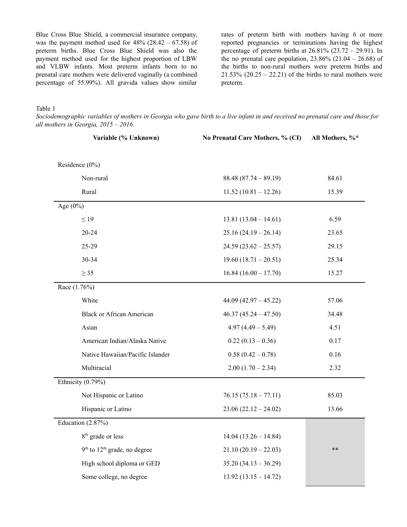Blue Cross Blue Shield, a commercial insurance company, was the payment method used for  $48\%$  (28.42 – 67.58) of preterm births. Blue Cross Blue Shield was also the payment method used for the highest proportion of LBW and VLBW infants. Most preterm infants born to no prenatal care mothers were delivered vaginally (a combined percentage of 55.99%). All gravida values show similar rates of preterm birth with mothers having 6 or more reported pregnancies or terminations having the highest percentage of preterm births at  $26.81\%$  ( $23.72 - 29.91$ ). In the no prenatal care population,  $23.86\%$  ( $21.04 - 26.68$ ) of the births to non-rural mothers were preterm births and  $21.53\%$   $(20.25 - 22.21)$  of the births to rural mothers were preterm.

Table 1

Sociodemographic variables of mothers in Georgia who gave birth to a live infant in and received no prenatal care and those for *all mothers in Georgia, 2015 – 2016.*

|                                  | Variable (% Unknown)<br>No Prenatal Care Mothers, % (CI) |       |
|----------------------------------|----------------------------------------------------------|-------|
| Residence (0%)                   |                                                          |       |
| Non-rural                        | $88.48(87.74 - 89.19)$                                   | 84.61 |
| Rural                            | $11.52(10.81 - 12.26)$                                   | 15.39 |
| Age $(0\%)$                      |                                                          |       |
| $\leq$ 19                        | $13.81(13.04 - 14.61)$                                   | 6.59  |
| $20 - 24$                        | $25.16(24.19 - 26.14)$                                   | 23.65 |
| $25 - 29$                        | $24.59(23.62 - 25.57)$                                   | 29.15 |
| 30-34                            | $19.60(18.71-20.51)$                                     | 25.34 |
| $\geq$ 35                        | $16.84(16.00 - 17.70)$                                   | 15.27 |
| Race (1.76%)                     |                                                          |       |
| White                            | $44.09(42.97 - 45.22)$                                   | 57.06 |
| <b>Black or African American</b> | $46.37(45.24 - 47.50)$                                   | 34.48 |
| Asian                            | $4.97(4.49 - 5.49)$                                      | 4.51  |
| American Indian/Alaska Native    | $0.22(0.13-0.36)$                                        | 0.17  |
| Native Hawaiian/Pacific Islander | $0.58(0.42 - 0.78)$                                      | 0.16  |
| Multiracial                      | $2.00(1.70 - 2.34)$                                      | 2.32  |
| Ethnicity (0.79%)                |                                                          |       |
| Not Hispanic or Latino           | $76.15(75.18 - 77.11)$                                   | 85.03 |
| Hispanic or Latino               | $23.06(22.12-24.02)$                                     | 13.66 |
| Education $(2.87%)$              |                                                          |       |
| 8 <sup>th</sup> grade or less    | $14.04(13.26 - 14.84)$                                   |       |
| $9th$ to $12th$ grade, no degree | $21.10(20.19 - 22.03)$                                   | $***$ |
| High school diploma or GED       | $35.20(34.13 - 36.29)$                                   |       |
| Some college, no degree          | $13.92(13.15 - 14.72)$                                   |       |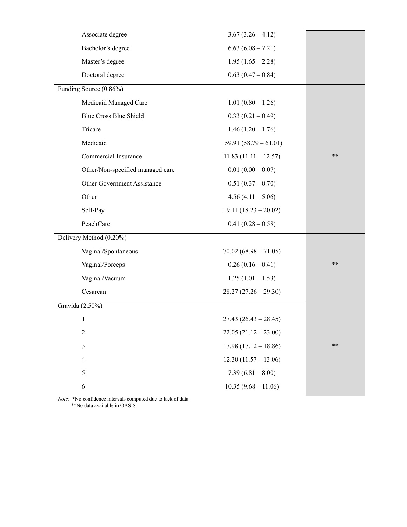| $3.67(3.26 - 4.12)$     |       |
|-------------------------|-------|
| $6.63(6.08 - 7.21)$     |       |
| $1.95(1.65 - 2.28)$     |       |
| $0.63(0.47-0.84)$       |       |
|                         |       |
| $1.01(0.80 - 1.26)$     |       |
| $0.33(0.21-0.49)$       |       |
| $1.46(1.20 - 1.76)$     |       |
| 59.91 $(58.79 - 61.01)$ |       |
| $11.83(11.11 - 12.57)$  | $***$ |
| $0.01(0.00 - 0.07)$     |       |
| $0.51(0.37 - 0.70)$     |       |
| $4.56(4.11 - 5.06)$     |       |
| $19.11(18.23 - 20.02)$  |       |
| $0.41(0.28-0.58)$       |       |
|                         |       |
| $70.02(68.98 - 71.05)$  |       |
| $0.26(0.16-0.41)$       | $***$ |
| $1.25(1.01 - 1.53)$     |       |
| $28.27(27.26 - 29.30)$  |       |
|                         |       |
| $27.43 (26.43 - 28.45)$ |       |
|                         |       |
| $22.05(21.12 - 23.00)$  |       |
| $17.98(17.12 - 18.86)$  | $***$ |
| $12.30(11.57 - 13.06)$  |       |
| $7.39(6.81 - 8.00)$     |       |
|                         |       |

*Note:* \*No confidence intervals computed due to lack of data \*\*No data available in OASIS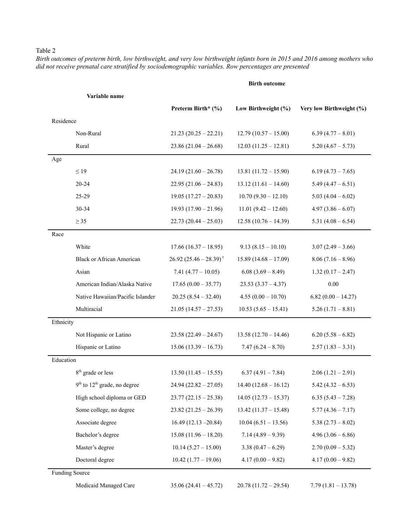## Table 2

Birth outcomes of preterm birth, low birthweight, and very low birthweight infants born in 2015 and 2016 among mothers who *did not receive prenatal care stratified by sociodemographic variables. Row percentages are presented*

#### **Birth outcome**

|           | Variable name                    |                                   |                        |                          |
|-----------|----------------------------------|-----------------------------------|------------------------|--------------------------|
|           |                                  | Preterm Birth* (%)                | Low Birthweight (%)    | Very low Birthweight (%) |
| Residence |                                  |                                   |                        |                          |
|           | Non-Rural                        | $21.23(20.25 - 22.21)$            | $12.79(10.57 - 15.00)$ | $6.39(4.77 - 8.01)$      |
|           | Rural                            | $23.86(21.04 - 26.68)$            | $12.03(11.25 - 12.81)$ | $5.20(4.67 - 5.73)$      |
| Age       |                                  |                                   |                        |                          |
|           | $\leq$ 19                        | $24.19(21.60 - 26.78)$            | $13.81(11.72 - 15.90)$ | $6.19(4.73 - 7.65)$      |
|           | $20 - 24$                        | $22.95(21.06 - 24.83)$            | $13.12(11.61 - 14.60)$ | $5.49(4.47 - 6.51)$      |
|           | 25-29                            | $19.05(17.27-20.83)$              | $10.70(9.30 - 12.10)$  | $5.03(4.04-6.02)$        |
|           | 30-34                            | $19.93(17.90 - 21.96)$            | $11.01 (9.42 - 12.60)$ | $4.97(3.86-6.07)$        |
|           | $\geq$ 35                        | $22.73(20.44 - 25.03)$            | $12.58(10.76 - 14.39)$ | $5.31(4.08-6.54)$        |
| Race      |                                  |                                   |                        |                          |
|           | White                            | $17.66(16.37 - 18.95)$            | $9.13(8.15-10.10)$     | $3.07(2.49 - 3.66)$      |
|           | <b>Black or African American</b> | $26.92 (25.46 - 28.39)^{\dagger}$ | $15.89(14.68 - 17.09)$ | $8.06(7.16-8.96)$        |
|           | Asian                            | 7.41 $(4.77 - 10.05)$             | $6.08(3.69 - 8.49)$    | $1.32(0.17 - 2.47)$      |
|           | American Indian/Alaska Native    | $17.65(0.00 - 35.77)$             | $23.53(3.37 - 4.37)$   | $0.00\,$                 |
|           | Native Hawaiian/Pacific Islander | $20.25(8.54 - 32.40)$             | $4.55(0.00 - 10.70)$   | $6.82(0.00 - 14.27)$     |
|           | Multiracial                      | $21.05(14.57 - 27.53)$            | $10.53(5.65 - 15.41)$  | $5.26(1.71 - 8.81)$      |
| Ethnicity |                                  |                                   |                        |                          |
|           | Not Hispanic or Latino           | $23.58(22.49 - 24.67)$            | $13.58(12.70 - 14.46)$ | $6.20(5.58-6.82)$        |
|           | Hispanic or Latino               | $15.06(13.39 - 16.73)$            | $7.47(6.24 - 8.70)$    | $2.57(1.83 - 3.31)$      |
| Education |                                  |                                   |                        |                          |
|           | 8 <sup>th</sup> grade or less    | $13.50(11.45 - 15.55)$            | $6.37(4.91 - 7.84)$    | $2.06(1.21-2.91)$        |
|           | $9th$ to $12th$ grade, no degree | $24.94(22.82 - 27.05)$            | $14.40(12.68 - 16.12)$ | $5.42(4.32 - 6.53)$      |
|           | High school diploma or GED       | $23.77(22.15 - 25.38)$            | $14.05(12.73 - 15.37)$ | $6.35(5.43 - 7.28)$      |
|           | Some college, no degree          | $23.82(21.25 - 26.39)$            | $13.42(11.37 - 15.48)$ | $5.77(4.36 - 7.17)$      |
|           | Associate degree                 | $16.49(12.13 - 20.84)$            | $10.04(6.51 - 13.56)$  | $5.38(2.73 - 8.02)$      |
|           | Bachelor's degree                | $15.08(11.96 - 18.20)$            | $7.14(4.89 - 9.39)$    | $4.96(3.06-6.86)$        |
|           | Master's degree                  | $10.14$ $(5.27 - 15.00)$          | $3.38(0.47 - 6.29)$    | $2.70(0.09 - 5.32)$      |
|           | Doctoral degree                  | $10.42(1.77 - 19.06)$             | $4.17(0.00 - 9.82)$    | $4.17(0.00 - 9.82)$      |
|           | <b>Funding Source</b>            |                                   |                        |                          |
|           | Medicaid Managed Care            | $35.06(24.41 - 45.72)$            | $20.78(11.72 - 29.54)$ | $7.79(1.81 - 13.78)$     |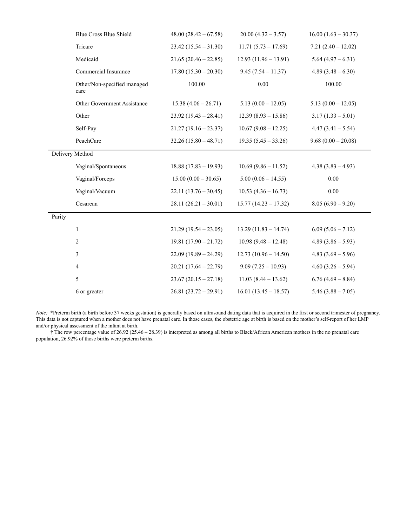|                 | <b>Blue Cross Blue Shield</b>       | $48.00(28.42-67.58)$    | $20.00(4.32 - 3.57)$   | $16.00(1.63 - 30.37)$ |
|-----------------|-------------------------------------|-------------------------|------------------------|-----------------------|
|                 | Tricare                             | $23.42(15.54 - 31.30)$  | $11.71(5.73 - 17.69)$  | $7.21(2.40 - 12.02)$  |
|                 | Medicaid                            | $21.65(20.46 - 22.85)$  | $12.93(11.96 - 13.91)$ | $5.64(4.97-6.31)$     |
|                 | Commercial Insurance                | $17.80(15.30 - 20.30)$  | $9.45(7.54 - 11.37)$   | $4.89(3.48-6.30)$     |
|                 | Other/Non-specified managed<br>care | 100.00                  | 0.00                   | 100.00                |
|                 | Other Government Assistance         | $15.38(4.06-26.71)$     | $5.13(0.00 - 12.05)$   | $5.13(0.00 - 12.05)$  |
|                 | Other                               | $23.92(19.43 - 28.41)$  | $12.39(8.93 - 15.86)$  | $3.17(1.33 - 5.01)$   |
|                 | Self-Pay                            | $21.27(19.16 - 23.37)$  | $10.67(9.08 - 12.25)$  | $4.47(3.41 - 5.54)$   |
|                 | PeachCare                           | $32.26(15.80 - 48.71)$  | $19.35(5.45 - 33.26)$  | $9.68(0.00-20.08)$    |
| Delivery Method |                                     |                         |                        |                       |
|                 | Vaginal/Spontaneous                 | $18.88(17.83 - 19.93)$  | $10.69(9.86 - 11.52)$  | $4.38(3.83 - 4.93)$   |
|                 | Vaginal/Forceps                     | $15.00 (0.00 - 30.65)$  | $5.00(0.06 - 14.55)$   | 0.00                  |
|                 | Vaginal/Vacuum                      | $22.11(13.76 - 30.45)$  | $10.53(4.36 - 16.73)$  | 0.00                  |
|                 | Cesarean                            | $28.11 (26.21 - 30.01)$ | $15.77(14.23 - 17.32)$ | $8.05(6.90-9.20)$     |
| Parity          |                                     |                         |                        |                       |
|                 | $\mathbf{1}$                        | $21.29(19.54 - 23.05)$  | $13.29(11.83 - 14.74)$ | $6.09(5.06 - 7.12)$   |
|                 | $\overline{2}$                      | $19.81(17.90 - 21.72)$  | $10.98(9.48-12.48)$    | $4.89(3.86-5.93)$     |
|                 | 3                                   | $22.09(19.89 - 24.29)$  | $12.73(10.96 - 14.50)$ | $4.83(3.69 - 5.96)$   |
|                 | $\overline{4}$                      | $20.21(17.64 - 22.79)$  | $9.09(7.25 - 10.93)$   | $4.60(3.26-5.94)$     |
|                 | 5                                   | $23.67(20.15-27.18)$    | $11.03(8.44 - 13.62)$  | $6.76(4.69 - 8.84)$   |
|                 | 6 or greater                        | $26.81(23.72-29.91)$    | $16.01(13.45 - 18.57)$ | $5.46(3.88 - 7.05)$   |

*Note:* \*Preterm birth (a birth before 37 weeks gestation) is generally based on ultrasound dating data that is acquired in the first or second trimester of pregnancy. This data is not captured when a mother does not have prenatal care. In those cases, the obstetric age at birth is based on the mother's self-report of her LMP and/or physical assessment of the infant at birth.

† The row percentage value of 26.92 (25.46 – 28.39) is interpreted as among all births to Black/African American mothers in the no prenatal care population, 26.92% of those births were preterm births.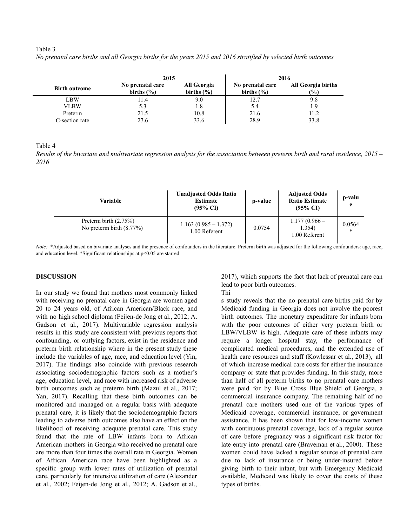#### Table 3

|                      | 2015                               |                               | 2016                               |                                            |  |
|----------------------|------------------------------------|-------------------------------|------------------------------------|--------------------------------------------|--|
| <b>Birth outcome</b> | No prenatal care<br>births $(\% )$ | All Georgia<br>births $(\% )$ | No prenatal care<br>births $(\% )$ | <b>All Georgia births</b><br>$\frac{9}{6}$ |  |
| LBW                  | 11.4                               | 9.0                           | 12.7                               | 9.8                                        |  |
| <b>VLBW</b>          | 5.3                                | 1.8                           | 5.4                                | 1.9                                        |  |
| Preterm              | 21.5                               | 10.8                          | 21.6                               | 11.2                                       |  |
| C-section rate       | 27.6                               | 33.6                          | 28.9                               | 33.8                                       |  |

No prenatal care births and all Georgia births for the years 2015 and 2016 stratified by selected birth outcomes

Table 4

Results of the bivariate and multivariate regression analysis for the association between preterm birth and rural residence,  $2015 -$ *2016*

| Variable                                                | <b>Unadjusted Odds Ratio</b><br><b>Estimate</b><br>$(95\% \text{ CI})$ | p-value | <b>Adjusted Odds</b><br><b>Ratio Estimate</b><br>$(95\% \text{ CI})$ | p-valu<br>e |
|---------------------------------------------------------|------------------------------------------------------------------------|---------|----------------------------------------------------------------------|-------------|
| Preterm birth $(2.75\%)$<br>No preterm birth $(8.77\%)$ | $1.163(0.985 - 1.372)$<br>1.00 Referent                                | 0.0754  | $1.177(0.966 -$<br>1.354)<br>1.00 Referent                           | 0.0564<br>* |

*Note:* \*Adjusted based on bivariate analyses and the presence of confounders in the literature. Preterm birth was adjusted for the following confounders: age, race, and education level. \*Significant relationships at p<0.05 are starred

## **DISCUSSION**

In our study we found that mothers most commonly linked with receiving no prenatal care in Georgia are women aged 20 to 24 years old, of African American/Black race, and with no high school diploma (Feijen-de Jong et al., 2012; A. Gadson et al., 2017). Multivariable regression analysis results in this study are consistent with previous reports that confounding, or outlying factors, exist in the residence and preterm birth relationship where in the present study these include the variables of age, race, and education level (Yin, 2017). The findings also coincide with previous research associating sociodemographic factors such as a mother's age, education level, and race with increased risk of adverse birth outcomes such as preterm birth (Mazul et al., 2017; Yan, 2017). Recalling that these birth outcomes can be monitored and managed on a regular basis with adequate prenatal care, it is likely that the sociodemographic factors leading to adverse birth outcomes also have an effect on the likelihood of receiving adequate prenatal care. This study found that the rate of LBW infants born to African American mothers in Georgia who received no prenatal care are more than four times the overall rate in Georgia. Women of African American race have been highlighted as a specific group with lower rates of utilization of prenatal care, particularly for intensive utilization of care (Alexander et al., 2002; Feijen-de Jong et al., 2012; A. Gadson et al., 2017), which supports the fact that lack of prenatal care can lead to poor birth outcomes.

Thi

s study reveals that the no prenatal care births paid for by Medicaid funding in Georgia does not involve the poorest birth outcomes. The monetary expenditure for infants born with the poor outcomes of either very preterm birth or LBW/VLBW is high. Adequate care of these infants may require a longer hospital stay, the performance of complicated medical procedures, and the extended use of health care resources and staff (Kowlessar et al., 2013), all of which increase medical care costs for either the insurance company or state that provides funding. In this study, more than half of all preterm births to no prenatal care mothers were paid for by Blue Cross Blue Shield of Georgia, a commercial insurance company. The remaining half of no prenatal care mothers used one of the various types of Medicaid coverage, commercial insurance, or government assistance. It has been shown that for low-income women with continuous prenatal coverage, lack of a regular source of care before pregnancy was a significant risk factor for late entry into prenatal care (Braveman et al., 2000). These women could have lacked a regular source of prenatal care due to lack of insurance or being under-insured before giving birth to their infant, but with Emergency Medicaid available, Medicaid was likely to cover the costs of these types of births.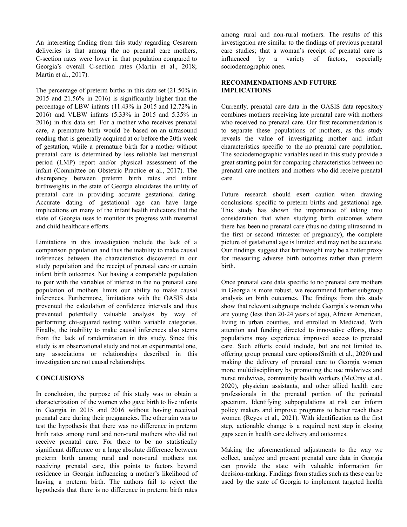An interesting finding from this study regarding Cesarean deliveries is that among the no prenatal care mothers, C-section rates were lower in that population compared to Georgia's overall C-section rates (Martin et al., 2018; Martin et al., 2017).

The percentage of preterm births in this data set (21.50% in 2015 and 21.56% in 2016) is significantly higher than the percentage of LBW infants (11.43% in 2015 and 12.72% in 2016) and VLBW infants (5.33% in 2015 and 5.35% in 2016) in this data set. For a mother who receives prenatal care, a premature birth would be based on an ultrasound reading that is generally acquired at or before the 20th week of gestation, while a premature birth for a mother without prenatal care is determined by less reliable last menstrual period (LMP) report and/or physical assessment of the infant (Committee on Obstetric Practice et al., 2017). The discrepancy between preterm birth rates and infant birthweights in the state of Georgia elucidates the utility of prenatal care in providing accurate gestational dating. Accurate dating of gestational age can have large implications on many of the infant health indicators that the state of Georgia uses to monitor its progress with maternal and child healthcare efforts.

Limitations in this investigation include the lack of a comparison population and thus the inability to make causal inferences between the characteristics discovered in our study population and the receipt of prenatal care or certain infant birth outcomes. Not having a comparable population to pair with the variables of interest in the no prenatal care population of mothers limits our ability to make causal inferences. Furthermore, limitations with the OASIS data prevented the calculation of confidence intervals and thus prevented potentially valuable analysis by way of performing chi-squared testing within variable categories. Finally, the inability to make causal inferences also stems from the lack of randomization in this study. Since this study is an observational study and not an experimental one, any associations or relationships described in this investigation are not causal relationships.

## **CONCLUSIONS**

In conclusion, the purpose of this study was to obtain a characterization of the women who gave birth to live infants in Georgia in 2015 and 2016 without having received prenatal care during their pregnancies. The other aim was to test the hypothesis that there was no difference in preterm birth rates among rural and non-rural mothers who did not receive prenatal care. For there to be no statistically significant difference or a large absolute difference between preterm birth among rural and non-rural mothers not receiving prenatal care, this points to factors beyond residence in Georgia influencing a mother's likelihood of having a preterm birth. The authors fail to reject the hypothesis that there is no difference in preterm birth rates

among rural and non-rural mothers. The results of this investigation are similar to the findings of previous prenatal care studies; that a woman's receipt of prenatal care is influenced by a variety of factors, especially sociodemographic ones.

## **RECOMMENDATIONS AND FUTURE IMPLICATIONS**

Currently, prenatal care data in the OASIS data repository combines mothers receiving late prenatal care with mothers who received no prenatal care. Our first recommendation is to separate these populations of mothers, as this study reveals the value of investigating mother and infant characteristics specific to the no prenatal care population. The sociodemographic variables used in this study provide a great starting point for comparing characteristics between no prenatal care mothers and mothers who did receive prenatal care.

Future research should exert caution when drawing conclusions specific to preterm births and gestational age. This study has shown the importance of taking into consideration that when studying birth outcomes where there has been no prenatal care (thus no dating ultrasound in the first or second trimester of pregnancy), the complete picture of gestational age is limited and may not be accurate. Our findings suggest that birthweight may be a better proxy for measuring adverse birth outcomes rather than preterm birth.

Once prenatal care data specific to no prenatal care mothers in Georgia is more robust, we recommend further subgroup analysis on birth outcomes. The findings from this study show that relevant subgroups include Georgia's women who are young (less than 20-24 years of age), African American, living in urban counties, and enrolled in Medicaid. With attention and funding directed to innovative efforts, these populations may experience improved access to prenatal care. Such efforts could include, but are not limited to, offering group prenatal care options(Smith et al., 2020) and making the delivery of prenatal care to Georgia women more multidisciplinary by promoting the use midwives and nurse midwives, community health workers (McCray et al., 2020), physician assistants, and other allied health care professionals in the prenatal portion of the perinatal spectrum. Identifying subpopulations at risk can inform policy makers and improve programs to better reach these women (Reyes et al., 2021). With identification as the first step, actionable change is a required next step in closing gaps seen in health care delivery and outcomes.

Making the aforementioned adjustments to the way we collect, analyze and present prenatal care data in Georgia can provide the state with valuable information for decision-making. Findings from studies such as these can be used by the state of Georgia to implement targeted health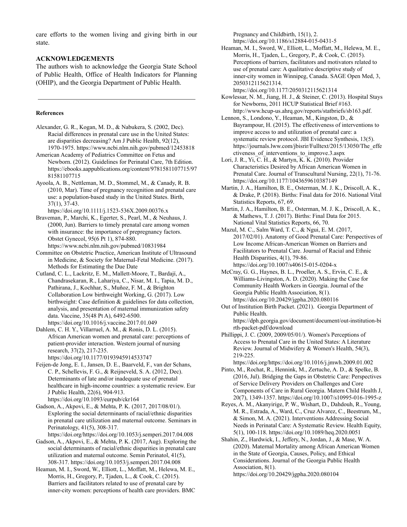care efforts to the women living and giving birth in our state.

## **ACKNOWLEDGEMENTS**

The authors wish to acknowledge the Georgia State School of Public Health, Office of Health Indicators for Planning (OHIP), and the Georgia Department of Public Health.

#### **References**

- Alexander, G. R., Kogan, M. D., & Nabukera, S. (2002, Dec). Racial differences in prenatal care use in the United States: are disparities decreasing? Am J Public Health, 92(12), 1970-1975. https://www.ncbi.nlm.nih.gov/pubmed/12453818
- American Academy of Pediatrics Committee on Fetus and Newborn. (2012). Guidelines for Perinatal Care, 7th Edition. https://ebooks.aappublications.org/content/9781581107715/97 81581107715
- Ayoola, A. B., Nettleman, M. D., Stommel, M., & Canady, R. B. (2010, Mar). Time of pregnancy recognition and prenatal care use: a population-based study in the United States. Birth, 37(1), 37-43.
- https://doi.org/10.1111/j.1523-536X.2009.00376.x Braveman, P., Marchi, K., Egerter, S., Pearl, M., & Neuhaus, J. (2000, Jun). Barriers to timely prenatal care among women with insurance: the importance of prepregnancy factors. Obstet Gynecol, 95(6 Pt 1), 874-880. https://www.ncbi.nlm.nih.gov/pubmed/10831984
- Committee on Obstetric Practice, American Institute of Ultrasound in Medicine, & Society for Maternal-Fetal Medicine. (2017). Methods for Estimating the Due Date
- Cutland, C. L., Lackritz, E. M., Mallett-Moore, T., Bardají, A., Chandrasekaran, R., Lahariya, C., Nisar, M. I., Tapia, M. D., Pathirana, J., Kochhar, S., Muñoz, F. M., & Brighton Collaboration Low birthweight Working, G. (2017). Low birthweight: Case definition & guidelines for data collection, analysis, and presentation of maternal immunization safety data. Vaccine, 35(48 Pt A), 6492-6500. https://doi.org/10.1016/j.vaccine.2017.01.049
- Dahlem, C. H. Y., Villarruel, A. M., & Ronis, D. L. (2015). African American women and prenatal care: perceptions of patient-provider interaction. Western journal of nursing research, 37(2), 217-235. https://doi.org/10.1177/0193945914533747
- Feijen-de Jong, E. I., Jansen, D. E., Baarveld, F., van der Schans, C. P., Schellevis, F. G., & Reijneveld, S. A. (2012, Dec). Determinants of late and/or inadequate use of prenatal healthcare in high-income countries: a systematic review. Eur J Public Health, 22(6), 904-913. https://doi.org/10.1093/eurpub/ckr164
- Gadson, A., Akpovi, E., & Mehta, P. K. (2017, 2017/08/01/). Exploring the social determinants of racial/ethnic disparities in prenatal care utilization and maternal outcome. Seminars in Perinatology, 41(5), 308-317. https://doi.org/https://doi.org/10.1053/j.semperi.2017.04.008
- Gadson, A., Akpovi, E., & Mehta, P. K. (2017, Aug). Exploring the social determinants of racial/ethnic disparities in prenatal care utilization and maternal outcome. Semin Perinatol, 41(5), 308-317. https://doi.org/10.1053/j.semperi.2017.04.008
- Heaman, M. I., Sword, W., Elliott, L., Moffatt, M., Helewa, M. E., Morris, H., Gregory, P., Tjaden, L., & Cook, C. (2015). Barriers and facilitators related to use of prenatal care by inner-city women: perceptions of health care providers. BMC

Pregnancy and Childbirth, 15(1), 2. https://doi.org/10.1186/s12884-015-0431-5

- Heaman, M. I., Sword, W., Elliott, L., Moffatt, M., Helewa, M. E., Morris, H., Tjaden, L., Gregory, P., & Cook, C. (2015). Perceptions of barriers, facilitators and motivators related to use of prenatal care: A qualitative descriptive study of inner-city women in Winnipeg, Canada. SAGE Open Med, 3, 2050312115621314.
- https://doi.org/10.1177/2050312115621314 Kowlessar, N. M., Jiang, H. J., & Steiner, C. (2013). Hospital Stays for Newborns, 2011 HCUP Statistical Brief #163.
- http://www.hcup-us.ahrq.gov/reports/statbriefs/sb163.pdf. Lennon, S., Londono, Y., Heaman, M., Kingston, D., &
- Bayrampour, H. (2015). The effectiveness of interventions to improve access to and utilization of prenatal care: a systematic review protocol. JBI Evidence Synthesis, 13(5). https://journals.lww.com/jbisrir/Fulltext/2015/13050/The\_effe ctiveness\_of\_interventions\_to\_improve.3.aspx
- Lori, J. R., Yi, C. H., & Martyn, K. K. (2010). Provider Characteristics Desired by African American Women in Prenatal Care. Journal of Transcultural Nursing, 22(1), 71-76. https://doi.org/10.1177/1043659610387149
- Martin, J. A., Hamilton, B. E., Osterman, M. J. K., Driscoll, A. K., & Drake, P. (2018). Births: Final data for 2016. National Vital Statistics Reports, 67, 69.
- Martin, J. A., Hamilton, B. E., Osterman, M. J. K., Driscoll, A. K., & Mathews, T. J. (2017). Births: Final Data for 2015. National Vital Statistics Reports, 66, 70.
- Mazul, M. C., Salm Ward, T. C., & Ngui, E. M. (2017, 2017/02/01). Anatomy of Good Prenatal Care: Perspectives of Low Income African-American Women on Barriers and Facilitators to Prenatal Care. Journal of Racial and Ethnic Health Disparities, 4(1), 79-86. https://doi.org/10.1007/s40615-015-0204-x
- McCray, G. G., Haynes, B. L., Proeller, A. S., Ervin, C. E., & Williams-Livingston, A. D. (2020). Making the Case for Community Health Workers in Georgia. Journal of the Georgia Public Health Association, 8(1). https://doi.org/10.20429/jgpha.2020.080116
- Out of Institution Birth Packet. (2021). Georgia Department of Public Health. https://dph.georgia.gov/document/document/out-institution-bi
- rth-packet-pdf/download Phillippi, J. C. (2009, 2009/05/01/). Women's Perceptions of
- Access to Prenatal Care in the United States: A Literature Review. Journal of Midwifery & Women's Health, 54(3), 219-225.
	- https://doi.org/https://doi.org/10.1016/j.jmwh.2009.01.002
- Pinto, M., Rochat, R., Hennink, M., Zertuche, A. D., & Spelke, B. (2016, Jul). Bridging the Gaps in Obstetric Care: Perspectives of Service Delivery Providers on Challenges and Core Components of Care in Rural Georgia. Matern Child Health J, 20(7), 1349-1357. https://doi.org/10.1007/s10995-016-1995-z
- Reyes, A. M., Akanyirige, P. W., Wishart, D., Dahdouh, R., Young, M. R., Estrada, A., Ward, C., Cruz Alvarez, C., Beestrum, M., & Simon, M. A. (2021). Interventions Addressing Social Needs in Perinatal Care: A Systematic Review. Health Equity, 5(1), 100-118. https://doi.org/10.1089/heq.2020.0051
- Shahin, Z., Hardwick, I., Jeffery, N., Jordan, J., & Mase, W. A. (2020). Maternal Mortality among African American Women in the State of Georgia, Causes, Policy, and Ethical Considerations. Journal of the Georgia Public Health Association, 8(1). https://doi.org/10.20429/jgpha.2020.080104